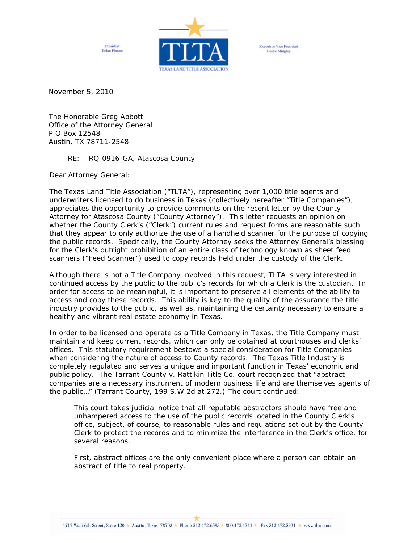President **Brian Pitman** 



**Executive Vice President** Leslie Midgley

November 5, 2010

The Honorable Greg Abbott Office of the Attorney General P.O Box 12548 Austin, TX 78711-2548

RE: *RQ-0916-GA, Atascosa County* 

Dear Attorney General:

The Texas Land Title Association ("TLTA"), representing over 1,000 title agents and underwriters licensed to do business in Texas (collectively hereafter "Title Companies"), appreciates the opportunity to provide comments on the recent letter by the County Attorney for Atascosa County ("County Attorney"). This letter requests an opinion on whether the County Clerk's ("Clerk") current rules and request forms are reasonable such that they appear to only authorize the use of a handheld scanner for the purpose of copying the public records. Specifically, the County Attorney seeks the Attorney General's blessing for the Clerk's outright prohibition of an entire class of technology known as sheet feed scanners ("Feed Scanner") used to copy records held under the custody of the Clerk.

Although there is not a Title Company involved in this request, TLTA is very interested in continued access by the public to the public's records for which a Clerk is the custodian. In order for access to be meaningful, it is important to preserve all elements of the ability to access and copy these records. This ability is key to the quality of the assurance the title industry provides to the public, as well as, maintaining the certainty necessary to ensure a healthy and vibrant real estate economy in Texas.

In order to be licensed and operate as a Title Company in Texas, the Title Company must maintain and keep current records, which can only be obtained at courthouses and clerks' offices. This statutory requirement bestows a special consideration for Title Companies when considering the nature of access to County records. The Texas Title Industry is completely regulated and serves a unique and important function in Texas' economic and public policy. The *Tarrant County v. Rattikin Title Co*. court recognized that "abstract companies are a necessary instrument of modern business life and are themselves agents of the public…" (*Tarrant County*, 199 S.W.2d at 272.) The court continued:

This court takes judicial notice that all reputable abstractors should have *free and unhampered access* to the use of the public records located in the County Clerk's office, subject, of course, to reasonable rules and regulations set out by the County Clerk to protect the records and to minimize the interference in the Clerk's office, for several reasons.

First, abstract offices are the only convenient place where a person can obtain an abstract of title to real property.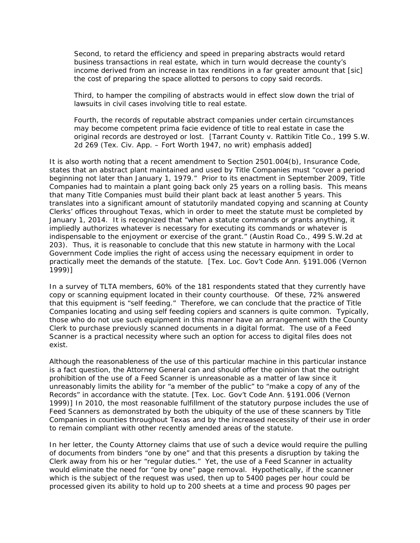Second, to retard the efficiency and speed in preparing abstracts would retard business transactions in real estate, which in turn would decrease the county's income derived from an increase in tax renditions in a far greater amount that [sic] the cost of preparing the space allotted to persons to copy said records.

Third, to hamper the compiling of abstracts would in effect slow down the trial of lawsuits in civil cases involving title to real estate.

Fourth, the records of reputable abstract companies under certain circumstances may become competent prima facie evidence of title to real estate in case the original records are destroyed or lost. [*Tarrant County v. Rattikin Title Co*., 199 S.W. 2d 269 (Tex. Civ. App. – Fort Worth 1947, no writ) *emphasis added*]

It is also worth noting that a recent amendment to Section 2501.004(b), Insurance Code, states that an abstract plant maintained and used by Title Companies must "cover a period beginning not later than January 1, 1979." Prior to its enactment in September 2009, Title Companies had to maintain a plant going back only 25 years on a rolling basis. This means that many Title Companies must build their plant back at least another 5 years. This translates into a significant amount of statutorily mandated copying and scanning at County Clerks' offices throughout Texas, which in order to meet the statute must be completed by January 1, 2014. It is recognized that "when a statute commands or grants anything, it impliedly authorizes whatever is necessary for executing its commands or whatever is indispensable to the enjoyment or exercise of the grant." (*Austin Road Co.,* 499 S.W.2d at 203). Thus, it is reasonable to conclude that this new statute in harmony with the Local Government Code implies the right of access using the necessary equipment in order to practically meet the demands of the statute. [Tex. Loc. Gov't Code Ann. §191.006 (Vernon 1999)]

In a survey of TLTA members, 60% of the 181 respondents stated that they currently have copy or scanning equipment located in their county courthouse. Of these, 72% answered that this equipment is "self feeding." Therefore, we can conclude that the practice of Title Companies locating and using self feeding copiers and scanners is quite common. Typically, those who do not use such equipment in this manner have an arrangement with the County Clerk to purchase previously scanned documents in a digital format. The use of a Feed Scanner is a practical necessity where such an option for access to digital files does not exist.

Although the reasonableness of the use of this particular machine in this particular instance is a fact question, the Attorney General can and should offer the opinion that the outright prohibition of the use of a Feed Scanner is unreasonable as a matter of law since it unreasonably limits the ability for "a member of the public" to "make a copy of any of the Records" in accordance with the statute. [Tex. Loc. Gov't Code Ann. §191.006 (Vernon 1999)] In 2010, the most reasonable fulfillment of the statutory purpose includes the use of Feed Scanners as demonstrated by both the ubiquity of the use of these scanners by Title Companies in counties throughout Texas and by the increased necessity of their use in order to remain compliant with other recently amended areas of the statute.

In her letter, the County Attorney claims that use of such a device would require the pulling of documents from binders "one by one" and that this presents a disruption by taking the Clerk away from his or her "regular duties." Yet, the use of a Feed Scanner in actuality would eliminate the need for "one by one" page removal. Hypothetically, if the scanner which is the subject of the request was used, then up to 5400 pages per hour could be processed given its ability to hold up to 200 sheets at a time and process 90 pages per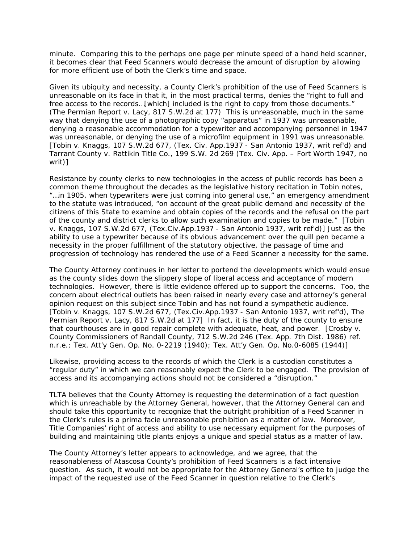minute. Comparing this to the perhaps one page per minute speed of a hand held scanner, it becomes clear that Feed Scanners would decrease the amount of disruption by allowing for more efficient use of both the Clerk's time and space.

Given its ubiquity and necessity, a County Clerk's prohibition of the use of Feed Scanners is unreasonable on its face in that it, in the most practical terms, denies the "right to full and free access to the records…[which] included is the right to copy from those documents." (*The Permian Report v. Lacy*, 817 S.W.2d at 177) This is unreasonable, much in the same way that denying the use of a photographic copy "apparatus" in 1937 was unreasonable, denying a reasonable accommodation for a typewriter and accompanying personnel in 1947 was unreasonable, or denying the use of a microfilm equipment in 1991 was unreasonable. [*Tobin v. Knaggs*, 107 S.W.2d 677, (Tex. Civ. App.1937 - San Antonio 1937, writ ref'd) and *Tarrant County v. Rattikin Title Co*., 199 S.W. 2d 269 (Tex. Civ. App. – Fort Worth 1947, no writ)]

Resistance by county clerks to new technologies in the access of public records has been a common theme throughout the decades as the legislative history recitation in *Tobin* notes, "…in 1905, when typewriters were just coming into general use," an emergency amendment to the statute was introduced, "on account of the great public demand and necessity of the citizens of this State to examine and obtain copies of the records and the refusal on the part of the county and district clerks to allow such examination and copies to be made." [*Tobin v. Knaggs*, 107 S.W.2d 677, (Tex.Civ.App.1937 - San Antonio 1937, writ ref'd)] Just as the ability to use a typewriter because of its obvious advancement over the quill pen became a necessity in the proper fulfillment of the statutory objective, the passage of time and progression of technology has rendered the use of a Feed Scanner a necessity for the same.

The County Attorney continues in her letter to portend the developments which would ensue as the county slides down the slippery slope of liberal access and acceptance of modern technologies. However, there is little evidence offered up to support the concerns. Too, the concern about electrical outlets has been raised in nearly every case and attorney's general opinion request on this subject since *Tobin* and has not found a sympathetic audience. [*Tobin v. Knaggs*, 107 S.W.2d 677, (Tex.Civ.App.1937 - San Antonio 1937, writ ref'd), *The Permian Report v. Lacy*, 817 S.W.2d at 177] In fact, it is the duty of the county to ensure that courthouses are in good repair complete with adequate, heat, and power. [*Crosby v. County Commissioners of Randall County*, 712 S.W.2d 246 (Tex. App. 7th Dist. 1986) ref. n.r.e.; Tex. Att'y Gen. Op. No. 0-2219 (1940); Tex. Att'y Gen. Op. No.0-6085 (1944)]

Likewise, providing access to the records of which the Clerk is a custodian constitutes a "regular duty" in which we can reasonably expect the Clerk to be engaged. The provision of access and its accompanying actions should not be considered a "disruption."

TLTA believes that the County Attorney is requesting the determination of a fact question which is unreachable by the Attorney General, however, that the Attorney General can and should take this opportunity to recognize that the outright prohibition of a Feed Scanner in the Clerk's rules is a *prima facie* unreasonable prohibition as a matter of law. Moreover, Title Companies' right of access and ability to use necessary equipment for the purposes of building and maintaining title plants enjoys a unique and special status as a matter of law.

The County Attorney's letter appears to acknowledge, and we agree, that the reasonableness of Atascosa County's prohibition of Feed Scanners is a fact intensive question. As such, it would not be appropriate for the Attorney General's office to judge the impact of the requested use of the Feed Scanner in question relative to the Clerk's